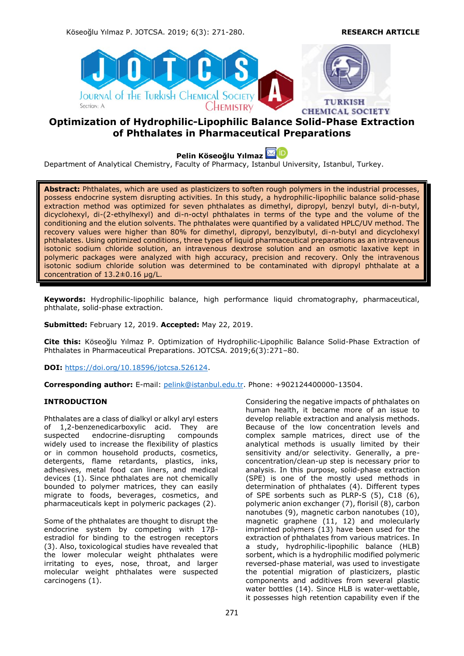Köseoğlu Yılmaz P. JOTCSA. 2019; 6(3): 271-280. **RESEARCH ARTICLE**



# **Optimization of Hydrophilic-Lipophilic Balance Solid-Phase Extraction of Phthalates in Pharmaceutical Preparations**

**Pelin Köseoğlu Yılmaz**

Department of Analytical Chemistry, Faculty of Pharmacy, Istanbul University, Istanbul, Turkey.

**Abstract:** Phthalates, which are used as plasticizers to soften rough polymers in the industrial processes, possess endocrine system disrupting activities. In this study, a hydrophilic-lipophilic balance solid-phase extraction method was optimized for seven phthalates as dimethyl, dipropyl, benzyl butyl, di-n-butyl, dicyclohexyl, di-(2-ethylhexyl) and di-n-octyl phthalates in terms of the type and the volume of the conditioning and the elution solvents. The phthalates were quantified by a validated HPLC/UV method. The recovery values were higher than 80% for dimethyl, dipropyl, benzylbutyl, di-n-butyl and dicyclohexyl phthalates. Using optimized conditions, three types of liquid pharmaceutical preparations as an intravenous isotonic sodium chloride solution, an intravenous dextrose solution and an osmotic laxative kept in polymeric packages were analyzed with high accuracy, precision and recovery. Only the intravenous isotonic sodium chloride solution was determined to be contaminated with dipropyl phthalate at a concentration of 13.2±0.16 μg/L.

**Keywords:** Hydrophilic-lipophilic balance, high performance liquid chromatography, pharmaceutical, phthalate, solid-phase extraction.

**Submitted:** February 12, 2019. **Accepted:** May 22, 2019.

**Cite this:** Köseoğlu Yılmaz P. Optimization of Hydrophilic-Lipophilic Balance Solid-Phase Extraction of Phthalates in Pharmaceutical Preparations. JOTCSA. 2019;6(3):271–80.

**DOI:** [https://doi.org/10.18596/jotcsa.526124.](https://doi.org/10.18596/jotcsa.526124)

**Corresponding author:** E-mail: [pelink@istanbul.edu.tr.](mailto:pelink@istanbul.edu.tr) Phone: +902124400000-13504.

# **INTRODUCTION**

Phthalates are a class of dialkyl or alkyl aryl esters of 1,2-benzenedicarboxylic acid. They are suspected endocrine-disrupting compounds widely used to increase the flexibility of plastics or in common household products, cosmetics, detergents, flame retardants, plastics, inks, adhesives, metal food can liners, and medical devices (1). Since phthalates are not chemically bounded to polymer matrices, they can easily migrate to foods, beverages, cosmetics, and pharmaceuticals kept in polymeric packages (2).

Some of the phthalates are thought to disrupt the endocrine system by competing with 17βestradiol for binding to the estrogen receptors (3). Also, toxicological studies have revealed that the lower molecular weight phthalates were irritating to eyes, nose, throat, and larger molecular weight phthalates were suspected carcinogens (1).

Considering the negative impacts of phthalates on human health, it became more of an issue to develop reliable extraction and analysis methods. Because of the low concentration levels and complex sample matrices, direct use of the analytical methods is usually limited by their sensitivity and/or selectivity. Generally, a preconcentration/clean-up step is necessary prior to analysis. In this purpose, solid-phase extraction (SPE) is one of the mostly used methods in determination of phthalates (4). Different types of SPE sorbents such as PLRP-S (5), C18 (6), polymeric anion exchanger (7), florisil (8), carbon nanotubes (9), magnetic carbon nanotubes (10), magnetic graphene (11, 12) and molecularly imprinted polymers (13) have been used for the extraction of phthalates from various matrices. In a study, hydrophilic-lipophilic balance (HLB) sorbent, which is a hydrophilic modified polymeric reversed-phase material, was used to investigate the potential migration of plasticizers, plastic components and additives from several plastic water bottles (14). Since HLB is water-wettable, it possesses high retention capability even if the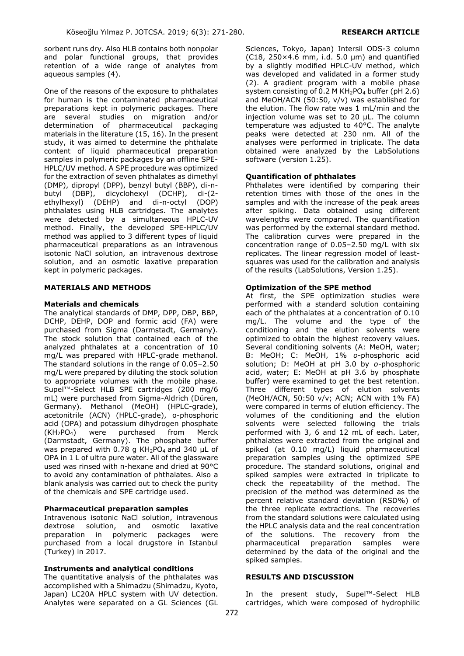sorbent runs dry. Also HLB contains both nonpolar and polar functional groups, that provides retention of a wide range of analytes from aqueous samples (4).

One of the reasons of the exposure to phthalates for human is the contaminated pharmaceutical preparations kept in polymeric packages. There are several studies on migration and/or determination of pharmaceutical packaging materials in the literature (15, 16). In the present study, it was aimed to determine the phthalate content of liquid pharmaceutical preparation samples in polymeric packages by an offline SPE-HPLC/UV method. A SPE procedure was optimized for the extraction of seven phthalates as dimethyl (DMP), dipropyl (DPP), benzyl butyl (BBP), di-ndicyclohexyl (DCHP), di-(2ethylhexyl) (DEHP) and di-n-octyl (DOP) phthalates using HLB cartridges. The analytes were detected by a simultaneous HPLC-UV method. Finally, the developed SPE-HPLC/UV method was applied to 3 different types of liquid pharmaceutical preparations as an intravenous isotonic NaCl solution, an intravenous dextrose solution, and an osmotic laxative preparation kept in polymeric packages.

#### **MATERIALS AND METHODS**

#### **Materials and chemicals**

The analytical standards of DMP, DPP, DBP, BBP, DCHP, DEHP, DOP and formic acid (FA) were purchased from Sigma (Darmstadt, Germany). The stock solution that contained each of the analyzed phthalates at a concentration of 10 mg/L was prepared with HPLC-grade methanol. The standard solutions in the range of 0.05–2.50 mg/L were prepared by diluting the stock solution to appropriate volumes with the mobile phase. Supel™-Select HLB SPE cartridges (200 mg/6 mL) were purchased from Sigma-Aldrich (Düren, Germany). Methanol (MeOH) (HPLC-grade), acetonitrile (ACN) (HPLC-grade), o-phosphoric acid (OPA) and potassium dihydrogen phosphate  $(KH<sub>2</sub>PO<sub>4</sub>)$  were purchased from Merck (Darmstadt, Germany). The phosphate buffer was prepared with 0.78 g  $KH<sub>2</sub>PO<sub>4</sub>$  and 340 µL of OPA in 1 L of ultra pure water. All of the glassware used was rinsed with n-hexane and dried at 90°C to avoid any contamination of phthalates. Also a blank analysis was carried out to check the purity of the chemicals and SPE cartridge used.

#### **Pharmaceutical preparation samples**

Intravenous isotonic NaCl solution, intravenous dextrose solution, and osmotic laxative preparation in polymeric packages were purchased from a local drugstore in Istanbul (Turkey) in 2017.

# **Instruments and analytical conditions**

The quantitative analysis of the phthalates was accomplished with a Shimadzu (Shimadzu, Kyoto, Japan) LC20A HPLC system with UV detection. Analytes were separated on a GL Sciences (GL Sciences, Tokyo, Japan) Intersil ODS-3 column (C18, 250×4.6 mm, i.d. 5.0 μm) and quantified by a slightly modified HPLC-UV method, which was developed and validated in a former study (2). A gradient program with a mobile phase system consisting of 0.2 M  $KH<sub>2</sub>PO<sub>4</sub>$  buffer (pH 2.6) and MeOH/ACN (50:50, v/v) was established for the elution. The flow rate was 1 mL/min and the injection volume was set to 20 μL. The column temperature was adjusted to 40°C. The analyte peaks were detected at 230 nm. All of the analyses were performed in triplicate. The data obtained were analyzed by the LabSolutions software (version 1.25).

### **Quantification of phthalates**

Phthalates were identified by comparing their retention times with those of the ones in the samples and with the increase of the peak areas after spiking. Data obtained using different wavelengths were compared. The quantification was performed by the external standard method. The calibration curves were prepared in the concentration range of 0.05–2.50 mg/L with six replicates. The linear regression model of leastsquares was used for the calibration and analysis of the results (LabSolutions, Version 1.25).

### **Optimization of the SPE method**

At first, the SPE optimization studies were performed with a standard solution containing each of the phthalates at a concentration of 0.10 mg/L. The volume and the type of the conditioning and the elution solvents were optimized to obtain the highest recovery values. Several conditioning solvents (A: MeOH, water; B: MeOH; C: MeOH, 1% *o*-phosphoric acid solution; D: MeOH at pH 3.0 by *o*-phosphoric acid, water; E: MeOH at pH 3.6 by phosphate buffer) were examined to get the best retention. Three different types of elution solvents (MeOH/ACN, 50:50 v/v; ACN; ACN with 1% FA) were compared in terms of elution efficiency. The volumes of the conditioning and the elution solvents were selected following the trials performed with 3, 6 and 12 mL of each. Later, phthalates were extracted from the original and spiked (at 0.10 mg/L) liquid pharmaceutical preparation samples using the optimized SPE procedure. The standard solutions, original and spiked samples were extracted in triplicate to check the repeatability of the method. The precision of the method was determined as the percent relative standard deviation (RSD%) of the three replicate extractions. The recoveries from the standard solutions were calculated using the HPLC analysis data and the real concentration of the solutions. The recovery from the pharmaceutical preparation samples were determined by the data of the original and the spiked samples.

#### **RESULTS AND DISCUSSION**

In the present study, Supel™-Select HLB cartridges, which were composed of hydrophilic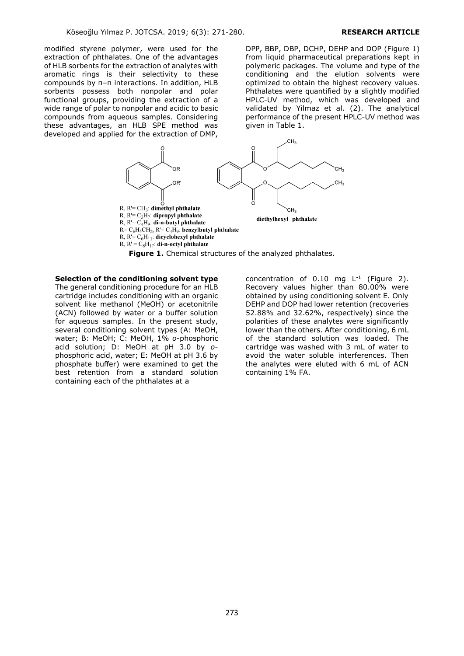modified styrene polymer, were used for the extraction of phthalates. One of the advantages of HLB sorbents for the extraction of analytes with aromatic rings is their selectivity to these compounds by π–π interactions. In addition, HLB sorbents possess both nonpolar and polar functional groups, providing the extraction of a wide range of polar to nonpolar and acidic to basic compounds from aqueous samples. Considering these advantages, an HLB SPE method was developed and applied for the extraction of DMP,

DPP, BBP, DBP, DCHP, DEHP and DOP (Figure 1) from liquid pharmaceutical preparations kept in polymeric packages. The volume and type of the conditioning and the elution solvents were optimized to obtain the highest recovery values. Phthalates were quantified by a slightly modified HPLC-UV method, which was developed and validated by Yilmaz et al. (2). The analytical performance of the present HPLC-UV method was given in Table 1.



**Figure 1.** Chemical structures of the analyzed phthalates.

**Selection of the conditioning solvent type** 

The general conditioning procedure for an HLB cartridge includes conditioning with an organic solvent like methanol (MeOH) or acetonitrile (ACN) followed by water or a buffer solution for aqueous samples. In the present study, several conditioning solvent types (A: MeOH, water; B: MeOH; C: MeOH, 1% *o*-phosphoric acid solution; D: MeOH at pH 3.0 by *o*phosphoric acid, water; E: MeOH at pH 3.6 by phosphate buffer) were examined to get the best retention from a standard solution containing each of the phthalates at a

concentration of  $0.10$  mg  $L^{-1}$  (Figure 2). Recovery values higher than 80.00% were obtained by using conditioning solvent E. Only DEHP and DOP had lower retention (recoveries 52.88% and 32.62%, respectively) since the polarities of these analytes were significantly lower than the others. After conditioning, 6 mL of the standard solution was loaded. The cartridge was washed with 3 mL of water to avoid the water soluble interferences. Then the analytes were eluted with 6 mL of ACN containing 1% FA.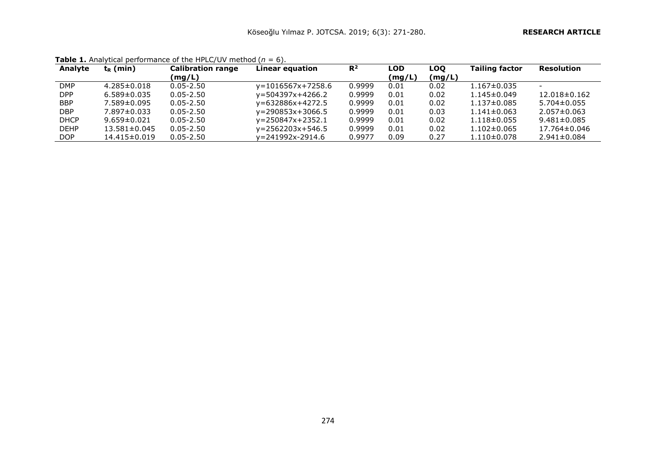| Analyte     | $t_{R}$ (min)      | <b>Calibration range</b> | Linear equation         | $R^2$  | LOD    | LOO    | <b>Tailing factor</b> | <b>Resolution</b>        |
|-------------|--------------------|--------------------------|-------------------------|--------|--------|--------|-----------------------|--------------------------|
|             |                    | (mg/L)                   |                         |        | (mg/L) | (mg/L) |                       |                          |
| <b>DMP</b>  | $4.285 \pm 0.018$  | $0.05 - 2.50$            | $v = 1016567x + 7258.6$ | 0.9999 | 0.01   | 0.02   | $1.167 \pm 0.035$     | $\overline{\phantom{0}}$ |
| <b>DPP</b>  | $6.589 \pm 0.035$  | $0.05 - 2.50$            | $v = 504397x + 4266.2$  | 0.9999 | 0.01   | 0.02   | $1.145 \pm 0.049$     | $12.018 \pm 0.162$       |
| <b>BBP</b>  | $7.589 \pm 0.095$  | $0.05 - 2.50$            | $v = 632886x + 4272.5$  | 0.9999 | 0.01   | 0.02   | $1.137\pm0.085$       | $5.704 \pm 0.055$        |
| <b>DBP</b>  | $7.897 \pm 0.033$  | $0.05 - 2.50$            | $v = 290853x + 3066.5$  | 0.9999 | 0.01   | 0.03   | $1.141 \pm 0.063$     | $2.057 \pm 0.063$        |
| <b>DHCP</b> | $9.659 \pm 0.021$  | $0.05 - 2.50$            | $v = 250847x + 2352.1$  | 0.9999 | 0.01   | 0.02   | $1.118 \pm 0.055$     | $9.481 \pm 0.085$        |
| <b>DEHP</b> | $13.581 \pm 0.045$ | $0.05 - 2.50$            | $v = 2562203x + 546.5$  | 0.9999 | 0.01   | 0.02   | $1.102 \pm 0.065$     | 17.764±0.046             |
| <b>DOP</b>  | 14.415±0.019       | $0.05 - 2.50$            | $v = 241992x - 2914.6$  | 0.9977 | 0.09   | 0.27   | $1.110\pm0.078$       | $2.941 \pm 0.084$        |

**Table 1.** Analytical performance of the HPLC/UV method  $(n = 6)$ .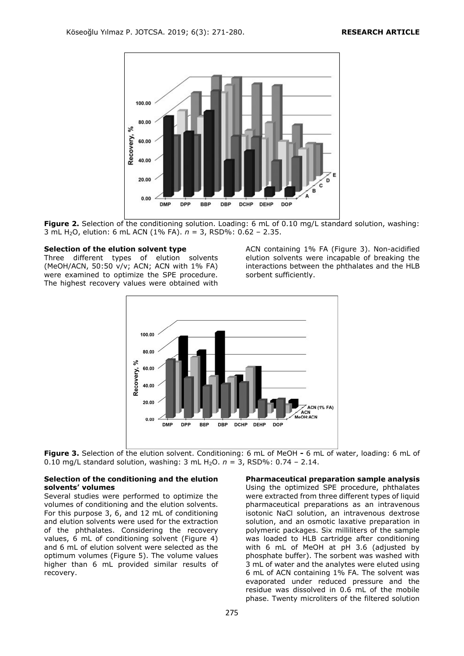

**Figure 2.** Selection of the conditioning solution. Loading: 6 mL of 0.10 mg/L standard solution, washing: 3 mL H2O, elution: 6 mL ACN (1% FA). *n* = 3, RSD%: 0.62 – 2.35.

#### **Selection of the elution solvent type**

Three different types of elution solvents (MeOH/ACN, 50:50 v/v; ACN; ACN with 1% FA) were examined to optimize the SPE procedure. The highest recovery values were obtained with

ACN containing 1% FA (Figure 3). Non-acidified elution solvents were incapable of breaking the interactions between the phthalates and the HLB sorbent sufficiently.



**Figure 3.** Selection of the elution solvent. Conditioning: 6 mL of MeOH **-** 6 mL of water, loading: 6 mL of 0.10 mg/L standard solution, washing:  $3 \text{ mL H}_2\text{O}$ .  $n = 3$ , RSD%:  $0.74 - 2.14$ .

#### **Selection of the conditioning and the elution solvents' volumes**

Several studies were performed to optimize the volumes of conditioning and the elution solvents. For this purpose 3, 6, and 12 mL of conditioning and elution solvents were used for the extraction of the phthalates. Considering the recovery values, 6 mL of conditioning solvent (Figure 4) and 6 mL of elution solvent were selected as the optimum volumes (Figure 5). The volume values higher than 6 mL provided similar results of recovery.

**Pharmaceutical preparation sample analysis** Using the optimized SPE procedure, phthalates were extracted from three different types of liquid pharmaceutical preparations as an intravenous isotonic NaCl solution, an intravenous dextrose solution, and an osmotic laxative preparation in polymeric packages. Six milliliters of the sample was loaded to HLB cartridge after conditioning with 6 mL of MeOH at pH 3.6 (adjusted by phosphate buffer). The sorbent was washed with 3 mL of water and the analytes were eluted using 6 mL of ACN containing 1% FA. The solvent was evaporated under reduced pressure and the residue was dissolved in 0.6 mL of the mobile phase. Twenty microliters of the filtered solution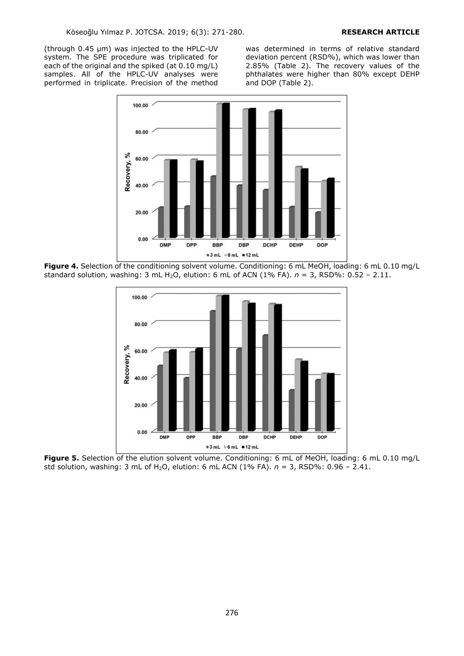(through 0.45 μm) was injected to the HPLC-UV system. The SPE procedure was triplicated for each of the original and the spiked (at 0.10 mg/L) samples. All of the HPLC-UV analyses were performed in triplicate. Precision of the method

was determined in terms of relative standard deviation percent (RSD%), which was lower than 2.85% (Table 2). The recovery values of the phthalates were higher than 80% except DEHP and DOP (Table 2).



Figure 4. Selection of the conditioning solvent volume. Conditioning: 6 mL MeOH, loading: 6 mL 0.10 mg/L standard solution, washing: 3 mL H2O, elution: 6 mL of ACN (1% FA). *n* = 3, RSD%: 0.52 – 2.11.



**Figure 5.** Selection of the elution solvent volume. Conditioning: 6 mL of MeOH, loading: 6 mL 0.10 mg/L std solution, washing: 3 mL of H2O, elution: 6 mL ACN (1% FA). *n* = 3, RSD%: 0.96 – 2.41.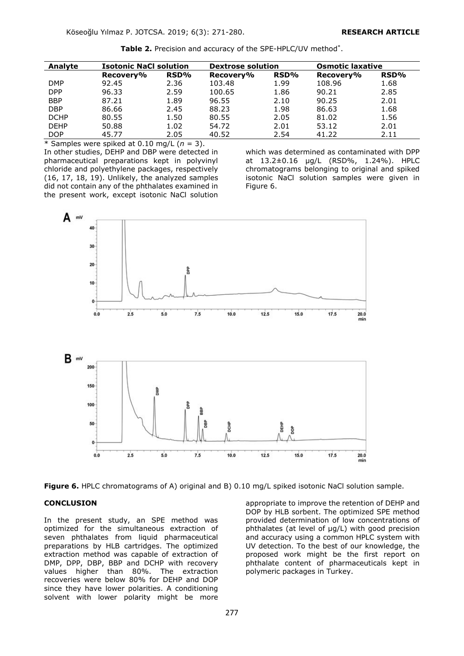**Table 2.** Precision and accuracy of the SPE-HPLC/UV method\* .

| Analyte     | <b>Isotonic NaCl solution</b> |      | <b>Dextrose solution</b> |      | <b>Osmotic laxative</b> |      |  |  |  |  |
|-------------|-------------------------------|------|--------------------------|------|-------------------------|------|--|--|--|--|
|             | Recovery%                     | RSD% | Recovery%                | RSD% | Recovery%               | RSD% |  |  |  |  |
| <b>DMP</b>  | 92.45                         | 2.36 | 103.48                   | 1.99 | 108.96                  | 1.68 |  |  |  |  |
| <b>DPP</b>  | 96.33                         | 2.59 | 100.65                   | 1.86 | 90.21                   | 2.85 |  |  |  |  |
| <b>BBP</b>  | 87.21                         | 1.89 | 96.55                    | 2.10 | 90.25                   | 2.01 |  |  |  |  |
| <b>DBP</b>  | 86.66                         | 2.45 | 88.23                    | 1.98 | 86.63                   | 1.68 |  |  |  |  |
| <b>DCHP</b> | 80.55                         | 1.50 | 80.55                    | 2.05 | 81.02                   | 1.56 |  |  |  |  |
| <b>DEHP</b> | 50.88                         | 1.02 | 54.72                    | 2.01 | 53.12                   | 2.01 |  |  |  |  |
| <b>DOP</b>  | 45.77                         | 2.05 | 40.52                    | 2.54 | 41.22                   | 2.11 |  |  |  |  |

 $*$  Samples were spiked at 0.10 mg/L  $(n = 3)$ .

In other studies, DEHP and DBP were detected in pharmaceutical preparations kept in polyvinyl chloride and polyethylene packages, respectively (16, 17, 18, 19). Unlikely, the analyzed samples did not contain any of the phthalates examined in the present work, except isotonic NaCl solution

which was determined as contaminated with DPP at 13.2±0.16 μg/L (RSD%, 1.24%). HPLC chromatograms belonging to original and spiked isotonic NaCl solution samples were given in Figure 6.





#### **CONCLUSION**

In the present study, an SPE method was optimized for the simultaneous extraction of seven phthalates from liquid pharmaceutical preparations by HLB cartridges. The optimized extraction method was capable of extraction of DMP, DPP, DBP, BBP and DCHP with recovery values higher than 80%. The extraction recoveries were below 80% for DEHP and DOP since they have lower polarities. A conditioning solvent with lower polarity might be more

appropriate to improve the retention of DEHP and DOP by HLB sorbent. The optimized SPE method provided determination of low concentrations of phthalates (at level of μg/L) with good precision and accuracy using a common HPLC system with UV detection. To the best of our knowledge, the proposed work might be the first report on phthalate content of pharmaceuticals kept in polymeric packages in Turkey.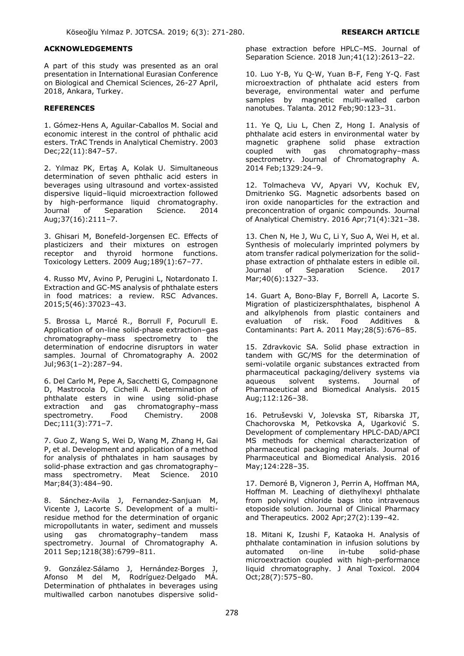#### **ACKNOWLEDGEMENTS**

A part of this study was presented as an oral presentation in International Eurasian Conference on Biological and Chemical Sciences, 26-27 April, 2018, Ankara, Turkey.

# **REFERENCES**

1. Gómez-Hens A, Aguilar-Caballos M. Social and economic interest in the control of phthalic acid esters. TrAC Trends in Analytical Chemistry. 2003 Dec;22(11):847–57.

2. Yılmaz PK, Ertaş A, Kolak U. Simultaneous determination of seven phthalic acid esters in beverages using ultrasound and vortex-assisted dispersive liquid–liquid microextraction followed by high-performance liquid chromatography. Journal of Separation Science. 2014 Aug;37(16):2111–7.

3. Ghisari M, Bonefeld-Jorgensen EC. Effects of plasticizers and their mixtures on estrogen receptor and thyroid hormone functions. Toxicology Letters. 2009 Aug;189(1):67–77.

4. Russo MV, Avino P, Perugini L, Notardonato I. Extraction and GC-MS analysis of phthalate esters in food matrices: a review. RSC Advances. 2015;5(46):37023–43.

5. Brossa L, Marcé R., Borrull F, Pocurull E. Application of on-line solid-phase extraction–gas chromatography–mass spectrometry to the determination of endocrine disruptors in water samples. Journal of Chromatography A. 2002 Jul;963(1–2):287–94.

6. Del Carlo M, Pepe A, Sacchetti G, Compagnone D, Mastrocola D, Cichelli A. Determination of phthalate esters in wine using solid-phase extraction and gas chromatography–mass spectrometry. Food Chemistry. 2008 Dec;111(3):771–7.

7. Guo Z, Wang S, Wei D, Wang M, Zhang H, Gai P, et al. Development and application of a method for analysis of phthalates in ham sausages by solid-phase extraction and gas chromatography– mass spectrometry. Meat Science. 2010 Mar;84(3):484–90.

8. Sánchez-Avila J, Fernandez-Sanjuan M, Vicente J, Lacorte S. Development of a multiresidue method for the determination of organic micropollutants in water, sediment and mussels using gas chromatography–tandem mass spectrometry. Journal of Chromatography A. 2011 Sep;1218(38):6799–811.

9. González‐Sálamo J, Hernández‐Borges J, Afonso M del M, Rodríguez‐Delgado MÁ. Determination of phthalates in beverages using multiwalled carbon nanotubes dispersive solidphase extraction before HPLC–MS. Journal of Separation Science. 2018 Jun;41(12):2613–22.

10. Luo Y-B, Yu Q-W, Yuan B-F, Feng Y-Q. Fast microextraction of phthalate acid esters from beverage, environmental water and perfume samples by magnetic multi-walled carbon nanotubes. Talanta. 2012 Feb;90:123–31.

11. Ye Q, Liu L, Chen Z, Hong I. Analysis of phthalate acid esters in environmental water by magnetic graphene solid phase extraction coupled with gas chromatography–mass spectrometry. Journal of Chromatography A. 2014 Feb;1329:24–9.

12. Tolmacheva VV, Apyari VV, Kochuk EV, Dmitrienko SG. Magnetic adsorbents based on iron oxide nanoparticles for the extraction and preconcentration of organic compounds. Journal of Analytical Chemistry. 2016 Apr;71(4):321–38.

13. Chen N, He J, Wu C, Li Y, Suo A, Wei H, et al. Synthesis of molecularly imprinted polymers by atom transfer radical polymerization for the solidphase extraction of phthalate esters in edible oil. Journal of Separation Science. 2017 Mar;40(6):1327–33.

14. Guart A, Bono-Blay F, Borrell A, Lacorte S. Migration of plasticizersphthalates, bisphenol A and alkylphenols from plastic containers and evaluation of risk. Food Additives & Contaminants: Part A. 2011 May;28(5):676–85.

15. Zdravkovic SA. Solid phase extraction in tandem with GC/MS for the determination of semi-volatile organic substances extracted from pharmaceutical packaging/delivery systems via aqueous solvent systems. Journal of Pharmaceutical and Biomedical Analysis. 2015 Aug;112:126–38.

16. Petruševski V, Jolevska ST, Ribarska JT, Chachorovska M, Petkovska A, Ugarković S. Development of complementary HPLC-DAD/APCI MS methods for chemical characterization of pharmaceutical packaging materials. Journal of Pharmaceutical and Biomedical Analysis. 2016 May;124:228–35.

17. Demoré B, Vigneron J, Perrin A, Hoffman MA, Hoffman M. Leaching of diethylhexyl phthalate from polyvinyl chloride bags into intravenous etoposide solution. Journal of Clinical Pharmacy and Therapeutics. 2002 Apr;27(2):139–42.

18. Mitani K, Izushi F, Kataoka H. Analysis of phthalate contamination in infusion solutions by automated on-line in-tube solid-phase microextraction coupled with high-performance liquid chromatography. J Anal Toxicol. 2004 Oct;28(7):575–80.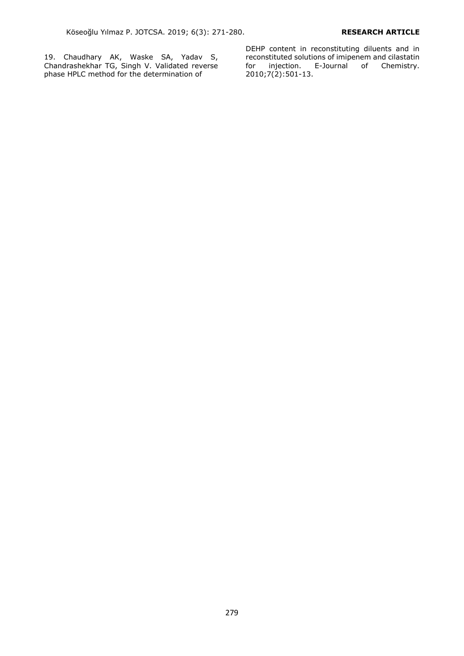19. Chaudhary AK, Waske SA, Yadav S, Chandrashekhar TG, Singh V. Validated reverse phase HPLC method for the determination of

DEHP content in reconstituting diluents and in reconstituted solutions of imipenem and cilastatin<br>for injection. E-Journal of Chemistry. for injection. E-Journal of Chemistry. 2010;7(2):501-13.